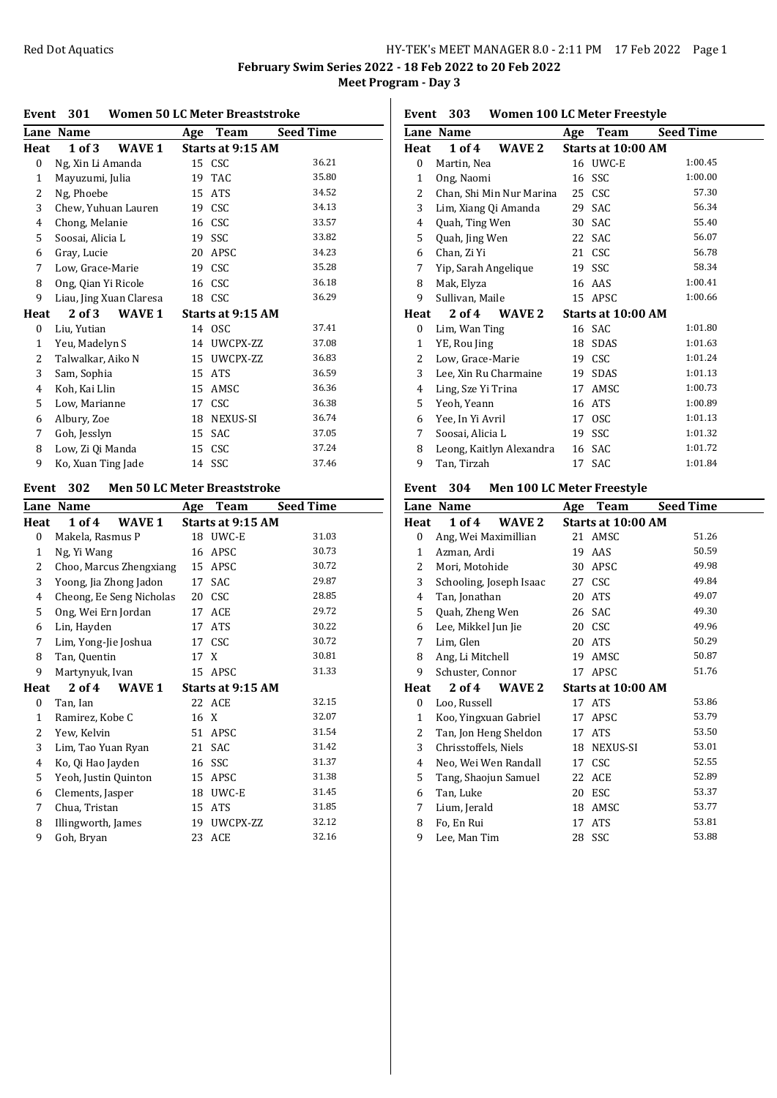## Red Dot Aquatics **HY-TEK's MEET MANAGER 8.0 - 2:11 PM** 17 Feb 2022 Page 1

**February Swim Series 2022 - 18 Feb 2022 to 20 Feb 2022 Meet Program - Day 3**

### **Event 301 Women 50 LC Meter Breaststroke**

|              | Lane Name               | Age | Team              | <b>Seed Time</b> |
|--------------|-------------------------|-----|-------------------|------------------|
| Heat         | $1$ of $3$<br>WAVE 1    |     | Starts at 9:15 AM |                  |
| 0            | Ng, Xin Li Amanda       |     | 15 CSC            | 36.21            |
| 1            | Mayuzumi, Julia         | 19  | <b>TAC</b>        | 35.80            |
| 2            | Ng, Phoebe              | 15  | <b>ATS</b>        | 34.52            |
| 3            | Chew, Yuhuan Lauren     | 19  | CSC               | 34.13            |
| 4            | Chong, Melanie          |     | 16 CSC            | 33.57            |
| 5            | Soosai, Alicia L        |     | 19 SSC            | 33.82            |
| 6            | Gray, Lucie             | 20  | APSC              | 34.23            |
| 7            | Low, Grace-Marie        |     | 19 CSC            | 35.28            |
| 8            | Ong, Qian Yi Ricole     | 16  | CSC               | 36.18            |
| 9            | Liau, Jing Xuan Claresa |     | 18 CSC            | 36.29            |
| Heat         | 2 of 3<br>WAVE 1        |     | Starts at 9:15 AM |                  |
| $\bf{0}$     | Liu, Yutian             |     | 14 OSC            | 37.41            |
| $\mathbf{1}$ | Yeu, Madelyn S          |     | 14 UWCPX-ZZ       | 37.08            |
| 2            | Talwalkar, Aiko N       |     | 15 UWCPX-ZZ       | 36.83            |
| 3            | Sam, Sophia             | 15  | <b>ATS</b>        | 36.59            |
| 4            | Koh, Kai Llin           | 15  | AMSC              | 36.36            |
| 5            | Low, Marianne           | 17  | <b>CSC</b>        | 36.38            |
| 6            | Albury, Zoe             | 18  | NEXUS-SI          | 36.74            |
| 7            | Goh, Jesslyn            | 15  | <b>SAC</b>        | 37.05            |
| 8            | Low, Zi Qi Manda        | 15  | <b>CSC</b>        | 37.24            |
| 9            | Ko, Xuan Ting Jade      |     | 14 SSC            | 37.46            |

## **Event 302 Men 50 LC Meter Breaststroke**

|                | Lane Name                | Age  | <b>Team</b>       | <b>Seed Time</b> |
|----------------|--------------------------|------|-------------------|------------------|
| Heat           | 1 of 4<br>WAVE 1         |      | Starts at 9:15 AM |                  |
| $\bf{0}$       | Makela, Rasmus P         |      | 18 UWC-E          | 31.03            |
| 1              | Ng, Yi Wang              | 16   | APSC              | 30.73            |
| 2              | Choo, Marcus Zhengxiang  | 15   | APSC              | 30.72            |
| 3              | Yoong, Jia Zhong Jadon   | 17   | SAC               | 29.87            |
| $\overline{4}$ | Cheong, Ee Seng Nicholas | 20   | CSC               | 28.85            |
| 5              | Ong, Wei Ern Jordan      | 17   | ACE               | 29.72            |
| 6              | Lin, Hayden              | 17   | <b>ATS</b>        | 30.22            |
| 7              | Lim, Yong-Jie Joshua     |      | 17 CSC            | 30.72            |
| 8              | Tan, Quentin             | 17 X |                   | 30.81            |
| 9              | Martynyuk, Ivan          |      | 15 APSC           | 31.33            |
| Heat           | $2$ of $4$<br>WAVE 1     |      | Starts at 9:15 AM |                  |
| 0              | Tan, Ian                 |      | 22 ACE            | 32.15            |
| 1              | Ramirez, Kobe C          | 16 X |                   | 32.07            |
| 2              | Yew, Kelvin              | 51   | APSC              | 31.54            |
| 3              | Lim, Tao Yuan Ryan       | 21   | <b>SAC</b>        | 31.42            |
| 4              | Ko, Qi Hao Jayden        | 16   | SSC               | 31.37            |
| 5              | Yeoh, Justin Quinton     | 15   | APSC              | 31.38            |
| 6              | Clements, Jasper         | 18   | UWC-E             | 31.45            |
| 7              | Chua, Tristan            | 15   | <b>ATS</b>        | 31.85            |
| 8              | Illingworth, James       | 19   | UWCPX-ZZ          | 32.12            |
| 9              | Goh, Bryan               | 23   | ACE               | 32.16            |

## **Event 303 Women 100 LC Meter Freestyle**

|      | Lane Name                | Age | Team               | <b>Seed Time</b> |
|------|--------------------------|-----|--------------------|------------------|
| Heat | $1$ of $4$<br>WAVE 2     |     | Starts at 10:00 AM |                  |
| 0    | Martin, Nea              |     | 16 UWC-E           | 1:00.45          |
| 1    | Ong, Naomi               | 16  | SSC                | 1:00.00          |
| 2    | Chan, Shi Min Nur Marina |     | 25 CSC             | 57.30            |
| 3    | Lim, Xiang Qi Amanda     | 29  | SAC                | 56.34            |
| 4    | Quah, Ting Wen           | 30  | SAC                | 55.40            |
| 5    | Quah, Jing Wen           |     | 22 SAC             | 56.07            |
| 6    | Chan, Zi Yi              |     | 21 CSC             | 56.78            |
| 7    | Yip, Sarah Angelique     |     | 19 SSC             | 58.34            |
| 8    | Mak, Elyza               | 16  | AAS                | 1:00.41          |
| 9    | Sullivan, Maile          |     | 15 APSC            | 1:00.66          |
| Heat | 2 of 4<br>WAVE 2         |     | Starts at 10:00 AM |                  |
| 0    | Lim, Wan Ting            |     | 16 SAC             | 1:01.80          |
| 1    | YE, Rou Jing             | 18  | <b>SDAS</b>        | 1:01.63          |
| 2    | Low, Grace-Marie         | 19  | <b>CSC</b>         | 1:01.24          |
| 3    | Lee, Xin Ru Charmaine    | 19  | SDAS               | 1:01.13          |
| 4    | Ling, Sze Yi Trina       | 17  | AMSC               | 1:00.73          |
| 5    | Yeoh, Yeann              |     | 16 ATS             | 1:00.89          |
| 6    | Yee, In Yi Avril         | 17  | <b>OSC</b>         | 1:01.13          |
| 7    | Soosai, Alicia L         | 19  | SSC                | 1:01.32          |
| 8    | Leong, Kaitlyn Alexandra |     | 16 SAC             | 1:01.72          |
| 9    | Tan, Tirzah              | 17  | <b>SAC</b>         | 1:01.84          |
|      |                          |     |                    |                  |

## **Event 304 Men 100 LC Meter Freestyle**

|                  | Lane Name               | Age | Team               | <b>Seed Time</b> |
|------------------|-------------------------|-----|--------------------|------------------|
| Heat             | $1$ of $4$<br>WAVE 2    |     | Starts at 10:00 AM |                  |
| $\boldsymbol{0}$ | Ang, Wei Maximillian    |     | 21 AMSC            | 51.26            |
| 1                | Azman, Ardi             | 19  | AAS                | 50.59            |
| 2                | Mori, Motohide          |     | 30 APSC            | 49.98            |
| 3                | Schooling, Joseph Isaac | 27  | <b>CSC</b>         | 49.84            |
| 4                | Tan, Jonathan           | 20  | <b>ATS</b>         | 49.07            |
| 5                | Quah, Zheng Wen         |     | 26 SAC             | 49.30            |
| 6                | Lee, Mikkel Jun Jie     |     | 20 CSC             | 49.96            |
| 7                | Lim, Glen               |     | 20 ATS             | 50.29            |
| 8                | Ang, Li Mitchell        | 19  | AMSC               | 50.87            |
| 9                | Schuster, Connor        |     | 17 APSC            | 51.76            |
| Heat             | 2 of 4<br>WAVE 2        |     | Starts at 10:00 AM |                  |
| $\boldsymbol{0}$ | Loo, Russell            |     | 17 ATS             | 53.86            |
| 1                | Koo, Yingxuan Gabriel   |     | 17 APSC            | 53.79            |
| 2                | Tan, Jon Heng Sheldon   |     | 17 ATS             | 53.50            |
| 3                | Chrisstoffels, Niels    |     | 18 NEXUS-SI        | 53.01            |
| 4                | Neo, Wei Wen Randall    | 17  | CSC                | 52.55            |
| 5                | Tang, Shaojun Samuel    |     | 22 ACE             | 52.89            |
| 6                | Tan, Luke               | 20  | ESC                | 53.37            |
| 7                | Lium, Jerald            | 18  | AMSC               | 53.77            |
| 8                | Fo, En Rui              | 17  | <b>ATS</b>         | 53.81            |
| 9                | Lee, Man Tim            | 28  | SSC                | 53.88            |
|                  |                         |     |                    |                  |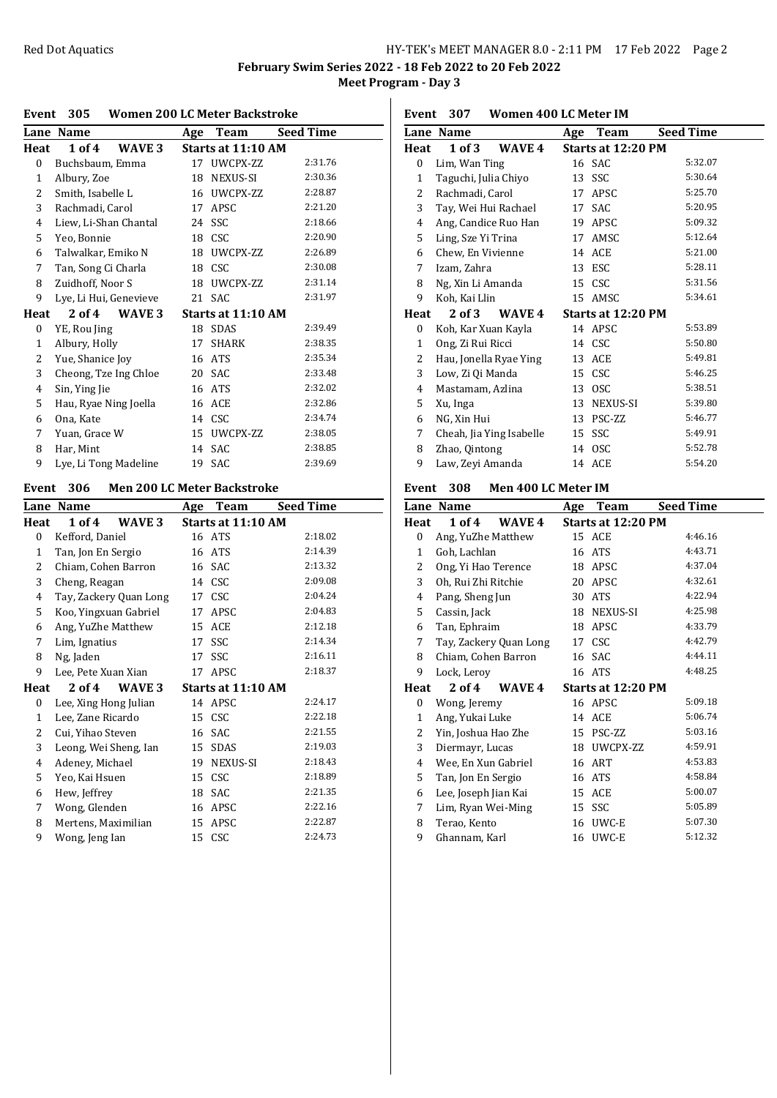**February Swim Series 2022 - 18 Feb 2022 to 20 Feb 2022 Meet Program - Day 3**

### **Event 305 Women 200 LC Meter Backstroke**

| Lane           | <b>Name</b>                 | Age | Team               | Seed Time |
|----------------|-----------------------------|-----|--------------------|-----------|
| Heat           | 1 of 4<br>WAVE <sub>3</sub> |     | Starts at 11:10 AM |           |
| 0              | Buchsbaum, Emma             |     | 17 UWCPX-ZZ        | 2:31.76   |
| 1              | Albury, Zoe                 | 18  | NEXUS-SI           | 2:30.36   |
| 2              | Smith, Isabelle L           | 16  | UWCPX-ZZ           | 2:28.87   |
| 3              | Rachmadi, Carol             |     | 17 APSC            | 2:21.20   |
| $\overline{4}$ | Liew, Li-Shan Chantal       |     | 24 SSC             | 2:18.66   |
| 5              | Yeo, Bonnie                 |     | 18 CSC             | 2:20.90   |
| 6              | Talwalkar, Emiko N          | 18  | UWCPX-ZZ           | 2:26.89   |
| 7              | Tan, Song Ci Charla         |     | 18 CSC             | 2:30.08   |
| 8              | Zuidhoff, Noor S            |     | 18 UWCPX-ZZ        | 2:31.14   |
| 9              | Lye, Li Hui, Genevieve      |     | 21 SAC             | 2:31.97   |
| Heat           | 2 of 4<br>WAVE 3            |     | Starts at 11:10 AM |           |
| 0              | YE, Rou Jing                | 18  | <b>SDAS</b>        | 2:39.49   |
| 1              | Albury, Holly               | 17  | <b>SHARK</b>       | 2:38.35   |
| 2              | Yue, Shanice Joy            | 16  | ATS                | 2:35.34   |
| 3              | Cheong, Tze Ing Chloe       |     | 20 SAC             | 2:33.48   |
| 4              | Sin, Ying Jie               | 16  | ATS                | 2:32.02   |
| 5              | Hau, Ryae Ning Joella       | 16  | ACE                | 2:32.86   |
| 6              | Ona, Kate                   |     | 14 CSC             | 2:34.74   |
| 7              | Yuan, Grace W               | 15  | UWCPX-ZZ           | 2:38.05   |
| 8              | Har, Mint                   | 14  | SAC                | 2:38.85   |
| 9              | Lye, Li Tong Madeline       |     | 19 SAC             | 2:39.69   |

### **Event 306 Men 200 LC Meter Backstroke**

|              | Lane Name              | Age | Team               | <b>Seed Time</b> |
|--------------|------------------------|-----|--------------------|------------------|
| Heat         | 1 of 4<br>WAVE 3       |     | Starts at 11:10 AM |                  |
| 0            | Kefford, Daniel        |     | 16 ATS             | 2:18.02          |
| 1            | Tan, Jon En Sergio     |     | 16 ATS             | 2:14.39          |
| 2            | Chiam, Cohen Barron    |     | 16 SAC             | 2:13.32          |
| 3            | Cheng, Reagan          |     | 14 CSC             | 2:09.08          |
| 4            | Tay, Zackery Quan Long |     | 17 CSC             | 2:04.24          |
| 5            | Koo, Yingxuan Gabriel  | 17  | APSC               | 2:04.83          |
| 6            | Ang, YuZhe Matthew     | 15  | ACE                | 2:12.18          |
| 7            | Lim, Ignatius          | 17  | SSC                | 2:14.34          |
| 8            | Ng, Jaden              | 17  | <b>SSC</b>         | 2:16.11          |
| 9            | Lee, Pete Xuan Xian    | 17  | APSC               | 2:18.37          |
| Heat         | $2$ of 4<br>WAVE 3     |     | Starts at 11:10 AM |                  |
| 0            | Lee, Xing Hong Julian  |     | 14 APSC            | 2:24.17          |
| $\mathbf{1}$ | Lee, Zane Ricardo      |     | 15 CSC             | 2:22.18          |
| 2            | Cui, Yihao Steven      |     | 16 SAC             | 2:21.55          |
| 3            | Leong, Wei Sheng, Ian  |     | 15 SDAS            | 2:19.03          |
| 4            | Adeney, Michael        | 19  | <b>NEXUS-SI</b>    | 2:18.43          |
| 5            | Yeo, Kai Hsuen         |     | 15 CSC             | 2:18.89          |
| 6            | Hew, Jeffrey           | 18  | SAC                | 2:21.35          |
| 7            | Wong, Glenden          | 16  | APSC               | 2:22.16          |
| 8            | Mertens, Maximilian    | 15  | APSC               | 2:22.87          |
| 9            | Wong, Jeng Ian         | 15  | CSC                | 2:24.73          |
|              |                        |     |                    |                  |

**Event 307 Women 400 LC Meter IM**

|      | Lane Name                | Team<br>Age        | <b>Seed Time</b> |
|------|--------------------------|--------------------|------------------|
| Heat | 1 of 3<br>WAVE 4         | Starts at 12:20 PM |                  |
| 0    | Lim, Wan Ting            | 16 SAC             | 5:32.07          |
| 1    | Taguchi, Julia Chiyo     | 13 SSC             | 5:30.64          |
| 2    | Rachmadi, Carol          | 17 APSC            | 5:25.70          |
| 3    | Tay, Wei Hui Rachael     | 17 SAC             | 5:20.95          |
| 4    | Ang, Candice Ruo Han     | 19 APSC            | 5:09.32          |
| 5    | Ling, Sze Yi Trina       | 17 AMSC            | 5:12.64          |
| 6    | Chew, En Vivienne        | 14 ACE             | 5:21.00          |
| 7    | Izam, Zahra              | 13 ESC             | 5:28.11          |
| 8    | Ng, Xin Li Amanda        | 15 CSC             | 5:31.56          |
| 9    | Koh, Kai Llin            | 15 AMSC            | 5:34.61          |
| Heat | $2$ of $3$<br>WAVE 4     | Starts at 12:20 PM |                  |
| 0    | Koh, Kar Xuan Kayla      | 14 APSC            | 5:53.89          |
| 1    | Ong, Zi Rui Ricci        | 14 CSC             | 5:50.80          |
| 2    | Hau, Jonella Ryae Ying   | 13 ACE             | 5:49.81          |
| 3    | Low, Zi Qi Manda         | 15 CSC             | 5:46.25          |
| 4    | Mastamam, Azlina         | <b>OSC</b><br>13   | 5:38.51          |
| 5    | Xu, Inga                 | NEXUS-SI<br>13     | 5:39.80          |
| 6    | NG, Xin Hui              | PSC-ZZ<br>13       | 5:46.77          |
| 7    | Cheah, Jia Ying Isabelle | 15 SSC             | 5:49.91          |
| 8    | Zhao, Qintong            | 14 OSC             | 5:52.78          |
| 9    | Law, Zeyi Amanda         | 14 ACE             | 5:54.20          |

## **Event 308 Men 400 LC Meter IM**

| Lane Name            |    | Team                          | <b>Seed Time</b>                                                                                                                                                                                      |
|----------------------|----|-------------------------------|-------------------------------------------------------------------------------------------------------------------------------------------------------------------------------------------------------|
| $1$ of $4$<br>WAVE 4 |    |                               |                                                                                                                                                                                                       |
| Ang, YuZhe Matthew   |    |                               | 4:46.16                                                                                                                                                                                               |
| Goh, Lachlan         |    | <b>ATS</b>                    | 4:43.71                                                                                                                                                                                               |
| Ong, Yi Hao Terence  |    | APSC                          | 4:37.04                                                                                                                                                                                               |
| Oh, Rui Zhi Ritchie  |    | APSC                          | 4:32.61                                                                                                                                                                                               |
| Pang, Sheng Jun      |    | <b>ATS</b>                    | 4:22.94                                                                                                                                                                                               |
| Cassin, Jack         |    | NEXUS-SI                      | 4:25.98                                                                                                                                                                                               |
| Tan, Ephraim         |    | APSC                          | 4:33.79                                                                                                                                                                                               |
|                      |    |                               | 4:42.79                                                                                                                                                                                               |
| Chiam, Cohen Barron  |    | SAC                           | 4:44.11                                                                                                                                                                                               |
| Lock, Leroy          |    |                               | 4:48.25                                                                                                                                                                                               |
| $2$ of $4$<br>WAVE 4 |    |                               |                                                                                                                                                                                                       |
| Wong, Jeremy         |    |                               | 5:09.18                                                                                                                                                                                               |
| Ang, Yukai Luke      |    |                               | 5:06.74                                                                                                                                                                                               |
| Yin, Joshua Hao Zhe  |    | PSC-ZZ                        | 5:03.16                                                                                                                                                                                               |
| Diermayr, Lucas      |    |                               | 4:59.91                                                                                                                                                                                               |
| Wee, En Xun Gabriel  |    |                               | 4:53.83                                                                                                                                                                                               |
| Tan, Jon En Sergio   |    |                               | 4:58.84                                                                                                                                                                                               |
| Lee, Joseph Jian Kai |    |                               | 5:00.07                                                                                                                                                                                               |
| Lim, Ryan Wei-Ming   | 15 |                               | 5:05.89                                                                                                                                                                                               |
| Terao, Kento         | 16 | UWC-E                         | 5:07.30                                                                                                                                                                                               |
| Ghannam, Karl        |    | UWC-E                         | 5:12.32                                                                                                                                                                                               |
|                      |    | Age<br>Tay, Zackery Quan Long | Starts at 12:20 PM<br>15 ACE<br>16<br>18<br>20<br>30<br>18<br>18<br>17 CSC<br>16<br>16 ATS<br>Starts at 12:20 PM<br>16 APSC<br>14 ACE<br>15<br>18 UWCPX-ZZ<br>16 ART<br>16 ATS<br>15 ACE<br>SSC<br>16 |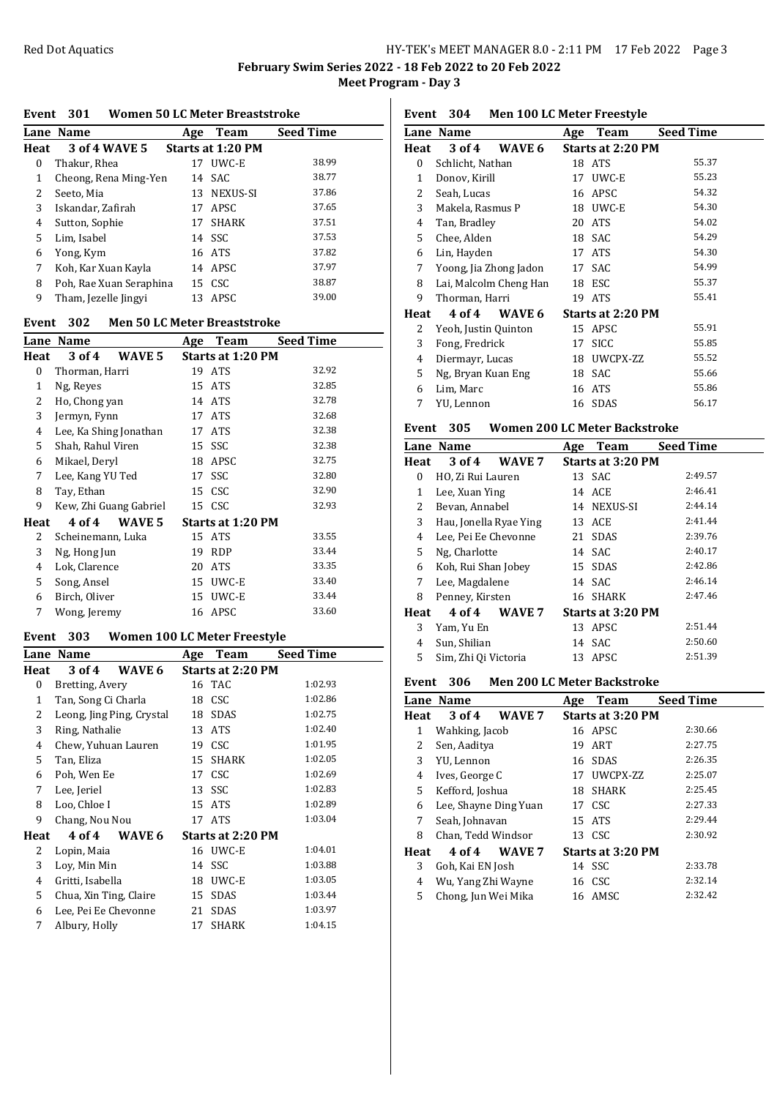**February Swim Series 2022 - 18 Feb 2022 to 20 Feb 2022 Meet Program - Day 3**

#### **Event 301 Women 50 LC Meter Breaststroke**

|      | Lane Name               | Age | <b>Team</b>              | <b>Seed Time</b> |  |
|------|-------------------------|-----|--------------------------|------------------|--|
| Heat | 3 of 4 WAVE 5           |     | <b>Starts at 1:20 PM</b> |                  |  |
| 0    | Thakur, Rhea            |     | 17 UWC-E                 | 38.99            |  |
| 1    | Cheong, Rena Ming-Yen   |     | 14 SAC                   | 38.77            |  |
| 2    | Seeto, Mia              |     | 13 NEXUS-SI              | 37.86            |  |
| 3    | Iskandar, Zafirah       |     | 17 APSC                  | 37.65            |  |
| 4    | Sutton, Sophie          | 17  | <b>SHARK</b>             | 37.51            |  |
| 5    | Lim, Isabel             |     | 14 SSC                   | 37.53            |  |
| 6    | Yong, Kym               |     | 16 ATS                   | 37.82            |  |
| 7    | Koh, Kar Xuan Kayla     |     | 14 APSC                  | 37.97            |  |
| 8    | Poh, Rae Xuan Seraphina |     | 15 CSC                   | 38.87            |  |
| 9    | Tham, Jezelle Jingyi    |     | 13 APSC                  | 39.00            |  |

### **Event 302 Men 50 LC Meter Breaststroke**

|      | <b>Lane Name</b>       | Team<br>Age              | <b>Seed Time</b> |
|------|------------------------|--------------------------|------------------|
| Heat | 3 of 4<br>WAVE 5       | <b>Starts at 1:20 PM</b> |                  |
| 0    | Thorman, Harri         | 19 ATS                   | 32.92            |
| 1    | Ng, Reyes              | 15 ATS                   | 32.85            |
| 2    | Ho, Chong yan          | 14 ATS                   | 32.78            |
| 3    | Jermyn, Fynn           | 17 ATS                   | 32.68            |
| 4    | Lee, Ka Shing Jonathan | <b>ATS</b><br>17         | 32.38            |
| 5    | Shah, Rahul Viren      | 15 SSC                   | 32.38            |
| 6    | Mikael, Deryl          | APSC<br>18               | 32.75            |
| 7    | Lee, Kang YU Ted       | <b>SSC</b><br>17         | 32.80            |
| 8    | Tay, Ethan             | 15 CSC                   | 32.90            |
| 9    | Kew, Zhi Guang Gabriel | 15 CSC                   | 32.93            |
| Heat | 4 of 4<br>WAVE 5       | <b>Starts at 1:20 PM</b> |                  |
| 2    | Scheinemann, Luka      | 15 ATS                   | 33.55            |
| 3    | Ng, Hong Jun           | <b>RDP</b><br>19         | 33.44            |
| 4    | Lok, Clarence          | <b>ATS</b><br>20         | 33.35            |
| 5    | Song, Ansel            | UWC-E<br>15              | 33.40            |
| 6    | Birch, Oliver          | UWC-E<br>15              | 33.44            |
| 7    | Wong, Jeremy           | APSC<br>16               | 33.60            |

## **Event 303 Women 100 LC Meter Freestyle**

|              | Lane Name                 | Age | Team                     | <b>Seed Time</b> |
|--------------|---------------------------|-----|--------------------------|------------------|
| Heat         | 3 of 4<br>WAVE 6          |     | <b>Starts at 2:20 PM</b> |                  |
| 0            | Bretting, Avery           |     | 16 TAC                   | 1:02.93          |
| $\mathbf{1}$ | Tan, Song Ci Charla       |     | 18 CSC                   | 1:02.86          |
| 2            | Leong, Jing Ping, Crystal |     | 18 SDAS                  | 1:02.75          |
| 3            | Ring, Nathalie            | 13  | ATS                      | 1:02.40          |
| 4            | Chew, Yuhuan Lauren       |     | 19 CSC                   | 1:01.95          |
| 5            | Tan, Eliza                | 15  | <b>SHARK</b>             | 1:02.05          |
| 6            | Poh, Wen Ee               | 17  | <b>CSC</b>               | 1:02.69          |
| 7            | Lee, Jeriel               |     | 13 SSC                   | 1:02.83          |
| 8            | Loo, Chloe I              |     | 15 ATS                   | 1:02.89          |
| 9            | Chang, Nou Nou            |     | 17 ATS                   | 1:03.04          |
| Heat         | WAVE 6<br>4 of 4          |     | <b>Starts at 2:20 PM</b> |                  |
| 2            | Lopin, Maia               |     | 16 UWC-E                 | 1:04.01          |
| 3            | Lov, Min Min              |     | 14 SSC                   | 1:03.88          |
| 4            | Gritti, Isabella          | 18  | UWC-E                    | 1:03.05          |
| 5            | Chua, Xin Ting, Claire    | 15  | SDAS                     | 1:03.44          |
| 6            | Lee, Pei Ee Chevonne      | 21  | SDAS                     | 1:03.97          |
| 7            | Albury, Holly             | 17  | <b>SHARK</b>             | 1:04.15          |

**Event 304 Men 100 LC Meter Freestyle**

|      | Lane Name              |        | Age | Team                     | <b>Seed Time</b> |
|------|------------------------|--------|-----|--------------------------|------------------|
| Heat | 3 of 4                 | WAVE 6 |     | <b>Starts at 2:20 PM</b> |                  |
| 0    | Schlicht, Nathan       |        |     | 18 ATS                   | 55.37            |
| 1    | Donov, Kirill          |        | 17  | UWC-E                    | 55.23            |
| 2    | Seah, Lucas            |        |     | 16 APSC                  | 54.32            |
| 3    | Makela, Rasmus P       |        |     | 18 UWC-E                 | 54.30            |
| 4    | Tan, Bradley           |        | 20  | <b>ATS</b>               | 54.02            |
| 5    | Chee, Alden            |        | 18  | SAC                      | 54.29            |
| 6    | Lin, Hayden            |        | 17  | <b>ATS</b>               | 54.30            |
| 7    | Yoong, Jia Zhong Jadon |        | 17  | SAC                      | 54.99            |
| 8    | Lai, Malcolm Cheng Han |        | 18  | ESC                      | 55.37            |
| 9    | Thorman, Harri         |        |     | 19 ATS                   | 55.41            |
| Heat | 4 of 4                 | WAVE 6 |     | <b>Starts at 2:20 PM</b> |                  |
| 2    | Yeoh, Justin Quinton   |        |     | 15 APSC                  | 55.91            |
| 3    | Fong, Fredrick         |        | 17  | <b>SICC</b>              | 55.85            |
| 4    | Diermayr, Lucas        |        |     | 18 UWCPX-ZZ              | 55.52            |
| 5    | Ng, Bryan Kuan Eng     |        |     | 18 SAC                   | 55.66            |
| 6    | Lim, Marc              |        |     | 16 ATS                   | 55.86            |
| 7    | YU, Lennon             |        | 16  | <b>SDAS</b>              | 56.17            |

### **Event 305 Women 200 LC Meter Backstroke**

|      | Lane Name              |        | Age | Team                     | <b>Seed Time</b> |  |
|------|------------------------|--------|-----|--------------------------|------------------|--|
| Heat | 3 of 4                 | WAVE 7 |     | <b>Starts at 3:20 PM</b> |                  |  |
| 0    | HO, Zi Rui Lauren      |        |     | 13 SAC                   | 2:49.57          |  |
| 1    | Lee, Xuan Ying         |        |     | 14 ACE                   | 2:46.41          |  |
| 2    | Bevan, Annabel         |        |     | 14 NEXUS-SI              | 2:44.14          |  |
| 3    | Hau, Jonella Ryae Ying |        |     | 13 ACE                   | 2:41.44          |  |
| 4    | Lee, Pei Ee Chevonne   |        |     | 21 SDAS                  | 2:39.76          |  |
| 5    | Ng, Charlotte          |        |     | 14 SAC                   | 2:40.17          |  |
| 6    | Koh, Rui Shan Jobey    |        |     | 15 SDAS                  | 2:42.86          |  |
| 7    | Lee, Magdalene         |        |     | 14 SAC                   | 2:46.14          |  |
| 8    | Penney, Kirsten        |        |     | 16 SHARK                 | 2:47.46          |  |
| Heat | 4 of 4                 | WAVE 7 |     | Starts at 3:20 PM        |                  |  |
| 3    | Yam, Yu En             |        |     | 13 APSC                  | 2:51.44          |  |
| 4    | Sun, Shilian           |        |     | 14 SAC                   | 2:50.60          |  |
| 5    | Sim, Zhi Qi Victoria   |        |     | 13 APSC                  | 2:51.39          |  |

## **Event 306 Men 200 LC Meter Backstroke**

|      | <b>Lane Name</b>      |        | Age | <b>Team</b>       | <b>Seed Time</b> |  |  |
|------|-----------------------|--------|-----|-------------------|------------------|--|--|
| Heat | 3 of 4                | WAVE 7 |     | Starts at 3:20 PM |                  |  |  |
| 1    | Wahking, Jacob        |        |     | 16 APSC           | 2:30.66          |  |  |
| 2    | Sen, Aaditya          |        |     | 19 ART            | 2:27.75          |  |  |
| 3    | YU, Lennon            |        |     | 16 SDAS           | 2:26.35          |  |  |
| 4    | Ives, George C        |        | 17  | UWCPX-ZZ          | 2:25.07          |  |  |
| 5    | Kefford, Joshua       |        | 18  | <b>SHARK</b>      | 2:25.45          |  |  |
| 6    | Lee, Shayne Ding Yuan |        |     | 17 CSC            | 2:27.33          |  |  |
| 7    | Seah, Johnavan        |        |     | 15 ATS            | 2:29.44          |  |  |
| 8    | Chan, Tedd Windsor    |        |     | 13 CSC            | 2:30.92          |  |  |
| Heat | 4 of 4                | WAVE 7 |     | Starts at 3:20 PM |                  |  |  |
| 3    | Goh, Kai EN Josh      |        |     | 14 SSC            | 2:33.78          |  |  |
| 4    | Wu, Yang Zhi Wayne    |        |     | 16 CSC            | 2:32.14          |  |  |
| 5    | Chong, Jun Wei Mika   |        |     | 16 AMSC           | 2:32.42          |  |  |
|      |                       |        |     |                   |                  |  |  |